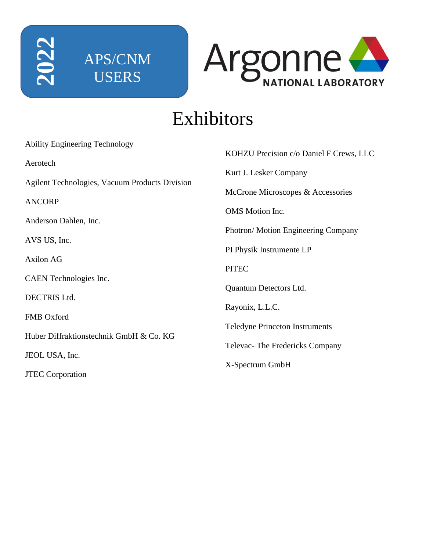



# Exhibitors

| <b>Ability Engineering Technology</b>          |                                         |
|------------------------------------------------|-----------------------------------------|
| Aerotech                                       | KOHZU Precision c/o Daniel F Crews, LLC |
|                                                | Kurt J. Lesker Company                  |
| Agilent Technologies, Vacuum Products Division | McCrone Microscopes & Accessories       |
| <b>ANCORP</b>                                  |                                         |
| Anderson Dahlen, Inc.                          | <b>OMS</b> Motion Inc.                  |
|                                                | Photron/Motion Engineering Company      |
| AVS US, Inc.                                   | PI Physik Instrumente LP                |
| <b>Axilon AG</b>                               |                                         |
| CAEN Technologies Inc.                         | <b>PITEC</b>                            |
|                                                | Quantum Detectors Ltd.                  |
| <b>DECTRIS Ltd.</b>                            | Rayonix, L.L.C.                         |
| FMB Oxford                                     |                                         |
| Huber Diffraktionstechnik GmbH & Co. KG        | <b>Teledyne Princeton Instruments</b>   |
|                                                | Televac-The Fredericks Company          |
| JEOL USA, Inc.                                 | X-Spectrum GmbH                         |
| <b>JTEC</b> Corporation                        |                                         |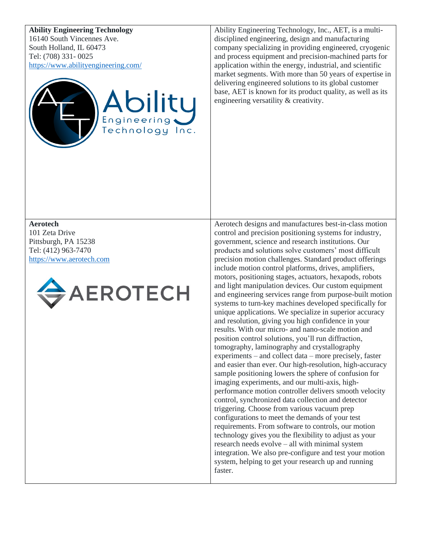### **Ability Engineering Technology**

16140 South Vincennes Ave. South Holland, IL 60473 Tel: (708) 331- 0025 <https://www.abilityengineering.com/>



Ability Engineering Technology, Inc., AET, is a multidisciplined engineering, design and manufacturing company specializing in providing engineered, cryogenic and process equipment and precision-machined parts for application within the energy, industrial, and scientific market segments. With more than 50 years of expertise in delivering engineered solutions to its global customer base, AET is known for its product quality, as well as its engineering versatility & creativity.

**Aerotech** 101 Zeta Drive Pittsburgh, PA 15238 Tel: (412) 963-7470 [https://www.aerotech.com](https://www.aerotech.com/)



Aerotech designs and manufactures best-in-class motion control and precision positioning systems for industry, government, science and research institutions. Our products and solutions solve customers' most difficult precision motion challenges. Standard product offerings include motion control platforms, drives, amplifiers, motors, positioning stages, actuators, hexapods, robots and light manipulation devices. Our custom equipment and engineering services range from purpose-built motion systems to turn-key machines developed specifically for unique applications. We specialize in superior accuracy and resolution, giving you high confidence in your results. With our micro- and nano-scale motion and position control solutions, you'll run diffraction, tomography, laminography and crystallography experiments – and collect data – more precisely, faster and easier than ever. Our high-resolution, high-accuracy sample positioning lowers the sphere of confusion for imaging experiments, and our multi-axis, highperformance motion controller delivers smooth velocity control, synchronized data collection and detector triggering. Choose from various vacuum prep configurations to meet the demands of your test requirements. From software to controls, our motion technology gives you the flexibility to adjust as your research needs evolve – all with minimal system integration. We also pre-configure and test your motion system, helping to get your research up and running faster.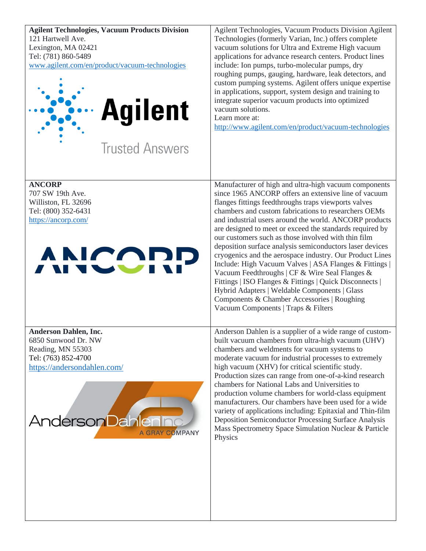| <b>Agilent Technologies, Vacuum Products Division</b><br>121 Hartwell Ave.<br>Lexington, MA 02421<br>Tel: (781) 860-5489<br>www.agilent.com/en/product/vacuum-technologies<br><b>Agilent</b><br><b>Trusted Answers</b> | Agilent Technologies, Vacuum Products Division Agilent<br>Technologies (formerly Varian, Inc.) offers complete<br>vacuum solutions for Ultra and Extreme High vacuum<br>applications for advance research centers. Product lines<br>include: Ion pumps, turbo-molecular pumps, dry<br>roughing pumps, gauging, hardware, leak detectors, and<br>custom pumping systems. Agilent offers unique expertise<br>in applications, support, system design and training to<br>integrate superior vacuum products into optimized<br>vacuum solutions.<br>Learn more at:<br>http://www.agilent.com/en/product/vacuum-technologies                                                                                                                                                                                                                          |
|------------------------------------------------------------------------------------------------------------------------------------------------------------------------------------------------------------------------|--------------------------------------------------------------------------------------------------------------------------------------------------------------------------------------------------------------------------------------------------------------------------------------------------------------------------------------------------------------------------------------------------------------------------------------------------------------------------------------------------------------------------------------------------------------------------------------------------------------------------------------------------------------------------------------------------------------------------------------------------------------------------------------------------------------------------------------------------|
| <b>ANCORP</b><br>707 SW 19th Ave.<br>Williston, FL 32696<br>Tel: (800) 352-6431<br>https://ancorp.com/<br>ANICORP                                                                                                      | Manufacturer of high and ultra-high vacuum components<br>since 1965 ANCORP offers an extensive line of vacuum<br>flanges fittings feedthroughs traps viewports valves<br>chambers and custom fabrications to researchers OEMs<br>and industrial users around the world. ANCORP products<br>are designed to meet or exceed the standards required by<br>our customers such as those involved with thin film<br>deposition surface analysis semiconductors laser devices<br>cryogenics and the aerospace industry. Our Product Lines<br>Include: High Vacuum Valves   ASA Flanges & Fittings  <br>Vacuum Feedthroughs   CF & Wire Seal Flanges &<br>Fittings   ISO Flanges & Fittings   Quick Disconnects  <br>Hybrid Adapters   Weldable Components   Glass<br>Components & Chamber Accessories   Roughing<br>Vacuum Components   Traps & Filters |
| <b>Anderson Dahlen, Inc.</b><br>6850 Sunwood Dr. NW<br>Reading, MN 55303<br>Tel: (763) 852-4700<br>https://andersondahlen.com/<br><b>Anderson Dahlening</b><br>A GRAY COMPANY                                          | Anderson Dahlen is a supplier of a wide range of custom-<br>built vacuum chambers from ultra-high vacuum (UHV)<br>chambers and weldments for vacuum systems to<br>moderate vacuum for industrial processes to extremely<br>high vacuum (XHV) for critical scientific study.<br>Production sizes can range from one-of-a-kind research<br>chambers for National Labs and Universities to<br>production volume chambers for world-class equipment<br>manufacturers. Our chambers have been used for a wide<br>variety of applications including: Epitaxial and Thin-film<br>Deposition Semiconductor Processing Surface Analysis<br>Mass Spectrometry Space Simulation Nuclear & Particle<br>Physics                                                                                                                                               |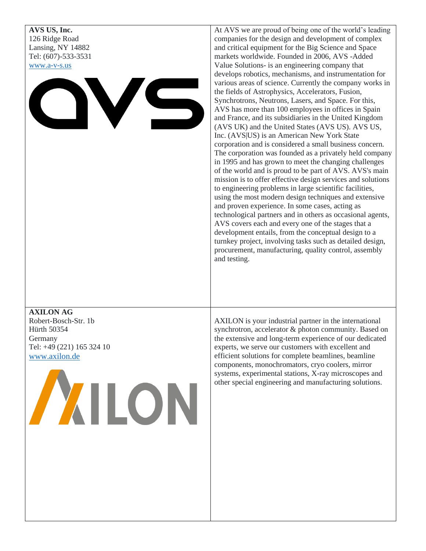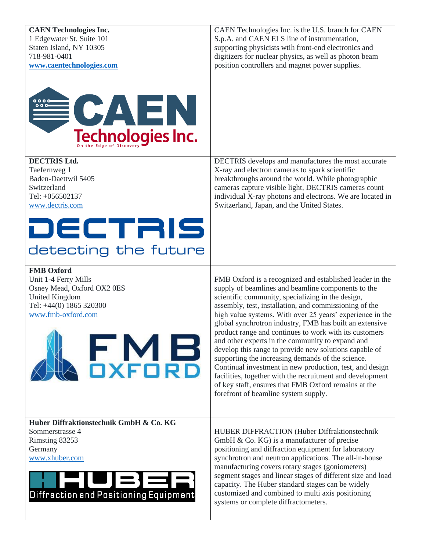| <b>CAEN Technologies Inc.</b><br>1 Edgewater St. Suite 101<br>Staten Island, NY 10305<br>718-981-0401<br>www.caentechnologies.com                                  | CAEN Technologies Inc. is the U.S. branch for CAEN<br>S.p.A. and CAEN ELS line of instrumentation,<br>supporting physicists with front-end electronics and<br>digitizers for nuclear physics, as well as photon beam<br>position controllers and magnet power supplies.                                                                                                                                                                                                                                                                                                                                                                                                                                                                                                                                     |
|--------------------------------------------------------------------------------------------------------------------------------------------------------------------|-------------------------------------------------------------------------------------------------------------------------------------------------------------------------------------------------------------------------------------------------------------------------------------------------------------------------------------------------------------------------------------------------------------------------------------------------------------------------------------------------------------------------------------------------------------------------------------------------------------------------------------------------------------------------------------------------------------------------------------------------------------------------------------------------------------|
| <b>ECAEN</b><br>Technologies Inc.                                                                                                                                  |                                                                                                                                                                                                                                                                                                                                                                                                                                                                                                                                                                                                                                                                                                                                                                                                             |
| <b>DECTRIS Ltd.</b><br>Taefernweg 1<br>Baden-Daettwil 5405<br>Switzerland<br>Tel: +056502137<br>www.dectris.com                                                    | DECTRIS develops and manufactures the most accurate<br>X-ray and electron cameras to spark scientific<br>breakthroughs around the world. While photographic<br>cameras capture visible light, DECTRIS cameras count<br>individual X-ray photons and electrons. We are located in<br>Switzerland, Japan, and the United States.                                                                                                                                                                                                                                                                                                                                                                                                                                                                              |
| DECTRIS<br>detecting the future                                                                                                                                    |                                                                                                                                                                                                                                                                                                                                                                                                                                                                                                                                                                                                                                                                                                                                                                                                             |
| <b>FMB</b> Oxford<br>Unit 1-4 Ferry Mills<br>Osney Mead, Oxford OX2 0ES<br><b>United Kingdom</b><br>Tel: +44(0) 1865 320300<br>www.fmb-oxford.com<br><b>JXFORD</b> | FMB Oxford is a recognized and established leader in the<br>supply of beamlines and beamline components to the<br>scientific community, specializing in the design,<br>assembly, test, installation, and commissioning of the<br>high value systems. With over 25 years' experience in the<br>global synchrotron industry, FMB has built an extensive<br>product range and continues to work with its customers<br>and other experts in the community to expand and<br>develop this range to provide new solutions capable of<br>supporting the increasing demands of the science.<br>Continual investment in new production, test, and design<br>facilities, together with the recruitment and development<br>of key staff, ensures that FMB Oxford remains at the<br>forefront of beamline system supply. |
| Huber Diffraktionstechnik GmbH & Co. KG<br>Sommerstrasse 4<br>Rimsting 83253<br>Germany<br>www.xhuber.com<br>▀▐▀▞▀▋▏<br>Diffraction and Positioning Equipment      | HUBER DIFFRACTION (Huber Diffraktionstechnik<br>GmbH $\&$ Co. KG) is a manufacturer of precise<br>positioning and diffraction equipment for laboratory<br>synchrotron and neutron applications. The all-in-house<br>manufacturing covers rotary stages (goniometers)<br>segment stages and linear stages of different size and load<br>capacity. The Huber standard stages can be widely<br>customized and combined to multi axis positioning<br>systems or complete diffractometers.                                                                                                                                                                                                                                                                                                                       |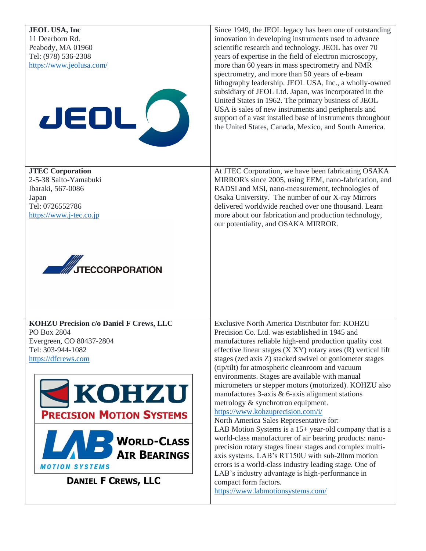| <b>JEOL USA, Inc</b><br>11 Dearborn Rd.<br>Peabody, MA 01960<br>Tel: (978) 536-2308<br>https://www.jeolusa.com/<br>JEDL                                                                                                                                         | Since 1949, the JEOL legacy has been one of outstanding<br>innovation in developing instruments used to advance<br>scientific research and technology. JEOL has over 70<br>years of expertise in the field of electron microscopy,<br>more than 60 years in mass spectrometry and NMR<br>spectrometry, and more than 50 years of e-beam<br>lithography leadership. JEOL USA, Inc., a wholly-owned<br>subsidiary of JEOL Ltd. Japan, was incorporated in the<br>United States in 1962. The primary business of JEOL<br>USA is sales of new instruments and peripherals and<br>support of a vast installed base of instruments throughout<br>the United States, Canada, Mexico, and South America.                                                                                                                                                                                                                                                                                                                                                |
|-----------------------------------------------------------------------------------------------------------------------------------------------------------------------------------------------------------------------------------------------------------------|-------------------------------------------------------------------------------------------------------------------------------------------------------------------------------------------------------------------------------------------------------------------------------------------------------------------------------------------------------------------------------------------------------------------------------------------------------------------------------------------------------------------------------------------------------------------------------------------------------------------------------------------------------------------------------------------------------------------------------------------------------------------------------------------------------------------------------------------------------------------------------------------------------------------------------------------------------------------------------------------------------------------------------------------------|
| <b>JTEC Corporation</b><br>2-5-38 Saito-Yamabuki<br>Ibaraki, 567-0086<br>Japan<br>Tel: 0726552786<br>https://www.j-tec.co.jp<br><b>AND STRECCORPORATION</b>                                                                                                     | At JTEC Corporation, we have been fabricating OSAKA<br>MIRROR's since 2005, using EEM, nano-fabrication, and<br>RADSI and MSI, nano-measurement, technologies of<br>Osaka University. The number of our X-ray Mirrors<br>delivered worldwide reached over one thousand. Learn<br>more about our fabrication and production technology,<br>our potentiality, and OSAKA MIRROR.                                                                                                                                                                                                                                                                                                                                                                                                                                                                                                                                                                                                                                                                   |
| <b>KOHZU Precision c/o Daniel F Crews, LLC</b><br>PO Box 2804<br>Evergreen, CO 80437-2804<br>Tel: 303-944-1082<br>https://dfcrews.com<br><b>EXOHZU</b><br><b>PRECISION MOTION SYSTEMS</b><br>WORLD-CLASS<br><b>MOTION SYSTEMS</b><br><b>DANIEL F CREWS, LLC</b> | Exclusive North America Distributor for: KOHZU<br>Precision Co. Ltd. was established in 1945 and<br>manufactures reliable high-end production quality cost<br>effective linear stages $(X XY)$ rotary axes $(R)$ vertical lift<br>stages (zed axis Z) stacked swivel or goniometer stages<br>(tip/tilt) for atmospheric cleanroom and vacuum<br>environments. Stages are available with manual<br>micrometers or stepper motors (motorized). KOHZU also<br>manufactures 3-axis & 6-axis alignment stations<br>metrology & synchrotron equipment.<br>https://www.kohzuprecision.com/i/<br>North America Sales Representative for:<br>LAB Motion Systems is a 15+ year-old company that is a<br>world-class manufacturer of air bearing products: nano-<br>precision rotary stages linear stages and complex multi-<br>axis systems. LAB's RT150U with sub-20nm motion<br>errors is a world-class industry leading stage. One of<br>LAB's industry advantage is high-performance in<br>compact form factors.<br>https://www.labmotionsystems.com/ |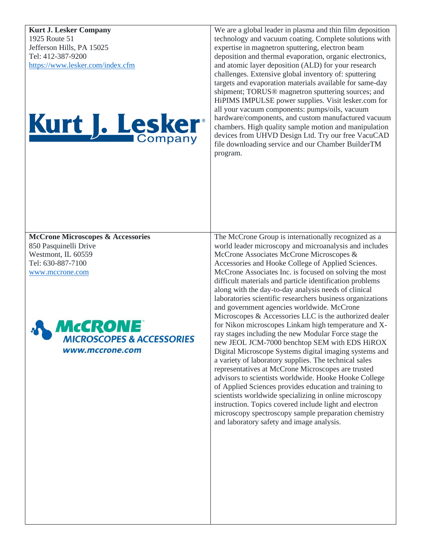**Kurt J. Lesker Company** 1925 Route 51 Jefferson Hills, PA 15025 Tel: 412-387-9200 <https://www.lesker.com/index.cfm>

# Kurt J. Lesker

We are a global leader in plasma and thin film deposition technology and vacuum coating. Complete solutions with expertise in magnetron sputtering, electron beam deposition and thermal evaporation, organic electronics, and atomic layer deposition (ALD) for your research challenges. Extensive global inventory of: sputtering targets and evaporation materials available for same-day shipment; TORUS® magnetron sputtering sources; and HiPIMS IMPULSE power supplies. Visit lesker.com for all your vacuum components: pumps/oils, vacuum hardware/components, and custom manufactured vacuum chambers. High quality sample motion and manipulation devices from UHVD Design Ltd. Try our free VacuCAD file downloading service and our Chamber BuilderTM program.

**McCrone Microscopes & Accessories** 850 Pasquinelli Drive Westmont, IL 60559 Tel: 630-887-7100 [www.mccrone.com](http://www.mccrone.com/)



The McCrone Group is internationally recognized as a world leader microscopy and microanalysis and includes McCrone Associates McCrone Microscopes & Accessories and Hooke College of Applied Sciences. McCrone Associates Inc. is focused on solving the most difficult materials and particle identification problems along with the day-to-day analysis needs of clinical laboratories scientific researchers business organizations and government agencies worldwide. McCrone Microscopes & Accessories LLC is the authorized dealer for Nikon microscopes Linkam high temperature and Xray stages including the new Modular Force stage the new JEOL JCM-7000 benchtop SEM with EDS HiROX Digital Microscope Systems digital imaging systems and a variety of laboratory supplies. The technical sales representatives at McCrone Microscopes are trusted advisors to scientists worldwide. Hooke Hooke College of Applied Sciences provides education and training to scientists worldwide specializing in online microscopy instruction. Topics covered include light and electron microscopy spectroscopy sample preparation chemistry and laboratory safety and image analysis.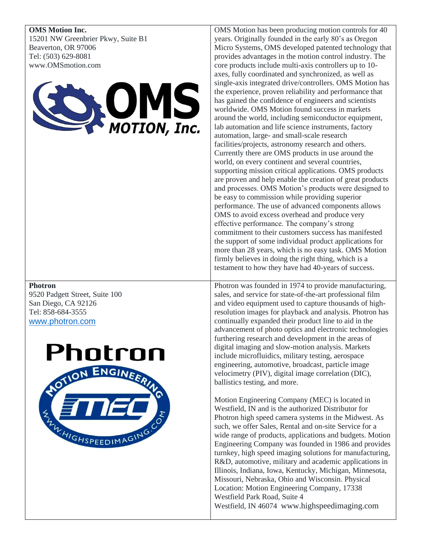**OMS Motion Inc.** 15201 NW Greenbrier Pkwy, Suite B1 Beaverton, OR 97006 Tel: (503) 629-8081 www.OMSmotion.com



### **Photron**

9520 Padgett Street, Suite 100 San Diego, CA 92126 Tel: 858-684-3555 [www.photron.com](http://www.photron.com/)



OMS Motion has been producing motion controls for 40 years. Originally founded in the early 80's as Oregon Micro Systems, OMS developed patented technology that provides advantages in the motion control industry. The core products include multi-axis controllers up to 10 axes, fully coordinated and synchronized, as well as single-axis integrated drive/controllers. OMS Motion has the experience, proven reliability and performance that has gained the confidence of engineers and scientists worldwide. OMS Motion found success in markets around the world, including semiconductor equipment, lab automation and life science instruments, factory automation, large- and small-scale research facilities/projects, astronomy research and others. Currently there are OMS products in use around the world, on every continent and several countries, supporting mission critical applications. OMS products are proven and help enable the creation of great products and processes. OMS Motion's products were designed to be easy to commission while providing superior performance. The use of advanced components allows OMS to avoid excess overhead and produce very effective performance. The company's strong commitment to their customers success has manifested the support of some individual product applications for more than 28 years, which is no easy task. OMS Motion firmly believes in doing the right thing, which is a testament to how they have had 40-years of success.

Photron was founded in 1974 to provide manufacturing, sales, and service for state-of-the-art professional film and video equipment used to capture thousands of highresolution images for playback and analysis. Photron has continually expanded their product line to aid in the advancement of photo optics and electronic technologies furthering research and development in the areas of digital imaging and slow-motion analysis. Markets include microfluidics, military testing, aerospace engineering, automotive, broadcast, particle image velocimetry (PIV), digital image correlation (DIC), ballistics testing, and more.

Motion Engineering Company (MEC) is located in Westfield, IN and is the authorized Distributor for Photron high speed camera systems in the Midwest. As such, we offer Sales, Rental and on-site Service for a wide range of products, applications and budgets. Motion Engineering Company was founded in 1986 and provides turnkey, high speed imaging solutions for manufacturing, R&D, automotive, military and academic applications in Illinois, Indiana, Iowa, Kentucky, Michigan, Minnesota, Missouri, Nebraska, Ohio and Wisconsin. Physical Location: Motion Engineering Company, 17338 Westfield Park Road, Suite 4 Westfield, IN 46074 [www.highspeedimaging.com](http://www.highspeedimaging.com/)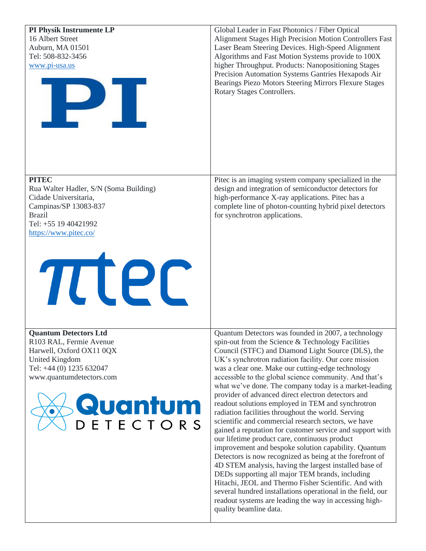| PI Physik Instrumente LP<br>16 Albert Street<br>Auburn, MA 01501<br>Tel: 508-832-3456<br>www.pi-usa.us<br>IP II                                                                       | Global Leader in Fast Photonics / Fiber Optical<br>Alignment Stages High Precision Motion Controllers Fast<br>Laser Beam Steering Devices. High-Speed Alignment<br>Algorithms and Fast Motion Systems provide to 100X<br>higher Throughput. Products: Nanopositioning Stages<br>Precision Automation Systems Gantries Hexapods Air<br>Bearings Piezo Motors Steering Mirrors Flexure Stages<br>Rotary Stages Controllers.                                                                                                                                                                                                                                                                                                                                                                                                                                                                                                                                                                                                                                                                                                                                                          |
|---------------------------------------------------------------------------------------------------------------------------------------------------------------------------------------|------------------------------------------------------------------------------------------------------------------------------------------------------------------------------------------------------------------------------------------------------------------------------------------------------------------------------------------------------------------------------------------------------------------------------------------------------------------------------------------------------------------------------------------------------------------------------------------------------------------------------------------------------------------------------------------------------------------------------------------------------------------------------------------------------------------------------------------------------------------------------------------------------------------------------------------------------------------------------------------------------------------------------------------------------------------------------------------------------------------------------------------------------------------------------------|
| <b>PITEC</b><br>Rua Walter Hadler, S/N (Soma Building)<br>Cidade Universitaria,<br>Campinas/SP 13083-837<br><b>Brazil</b><br>Tel: +55 19 40421992<br>https://www.pitec.co/<br>TTEC    | Pitec is an imaging system company specialized in the<br>design and integration of semiconductor detectors for<br>high-performance X-ray applications. Pitec has a<br>complete line of photon-counting hybrid pixel detectors<br>for synchrotron applications.                                                                                                                                                                                                                                                                                                                                                                                                                                                                                                                                                                                                                                                                                                                                                                                                                                                                                                                     |
| <b>Quantum Detectors Ltd</b><br>R103 RAL, Fermie Avenue<br>Harwell, Oxford OX11 0QX<br>United Kingdom<br>Tel: +44 (0) 1235 632047<br>www.quantumdetectors.com<br>Quantum<br>DETECTORS | Quantum Detectors was founded in 2007, a technology<br>spin-out from the Science & Technology Facilities<br>Council (STFC) and Diamond Light Source (DLS), the<br>UK's synchrotron radiation facility. Our core mission<br>was a clear one. Make our cutting-edge technology<br>accessible to the global science community. And that's<br>what we've done. The company today is a market-leading<br>provider of advanced direct electron detectors and<br>readout solutions employed in TEM and synchrotron<br>radiation facilities throughout the world. Serving<br>scientific and commercial research sectors, we have<br>gained a reputation for customer service and support with<br>our lifetime product care, continuous product<br>improvement and bespoke solution capability. Quantum<br>Detectors is now recognized as being at the forefront of<br>4D STEM analysis, having the largest installed base of<br>DEDs supporting all major TEM brands, including<br>Hitachi, JEOL and Thermo Fisher Scientific. And with<br>several hundred installations operational in the field, our<br>readout systems are leading the way in accessing high-<br>quality beamline data. |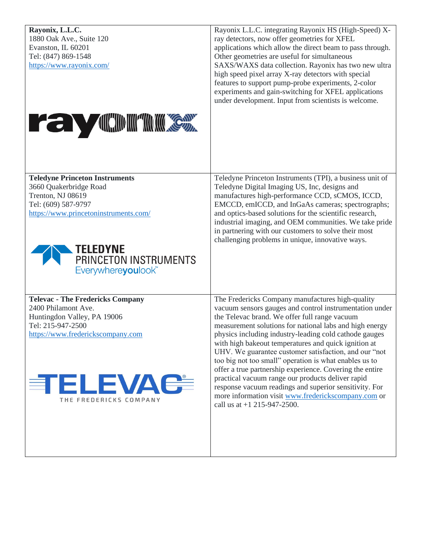| Rayonix, L.L.C.<br>1880 Oak Ave., Suite 120<br>Evanston, IL 60201<br>Tel: (847) 869-1548<br>https://www.rayonix.com/<br><b>THE STATE OF A CONSUMINATION CONSUMER</b>                                                         | Rayonix L.L.C. integrating Rayonix HS (High-Speed) X-<br>ray detectors, now offer geometries for XFEL<br>applications which allow the direct beam to pass through.<br>Other geometries are useful for simultaneous<br>SAXS/WAXS data collection. Rayonix has two new ultra<br>high speed pixel array X-ray detectors with special<br>features to support pump-probe experiments, 2-color<br>experiments and gain-switching for XFEL applications<br>under development. Input from scientists is welcome.                                                                                                                                                                                                                        |
|------------------------------------------------------------------------------------------------------------------------------------------------------------------------------------------------------------------------------|---------------------------------------------------------------------------------------------------------------------------------------------------------------------------------------------------------------------------------------------------------------------------------------------------------------------------------------------------------------------------------------------------------------------------------------------------------------------------------------------------------------------------------------------------------------------------------------------------------------------------------------------------------------------------------------------------------------------------------|
| <b>Teledyne Princeton Instruments</b><br>3660 Quakerbridge Road<br>Trenton, NJ 08619<br>Tel: (609) 587-9797<br>https://www.princetoninstruments.com/<br>TELEDYNE<br>PRINCETON INSTRUMENTS<br>Everywhereyoulook <sup>**</sup> | Teledyne Princeton Instruments (TPI), a business unit of<br>Teledyne Digital Imaging US, Inc, designs and<br>manufactures high-performance CCD, sCMOS, ICCD,<br>EMCCD, emICCD, and InGaAs cameras; spectrographs;<br>and optics-based solutions for the scientific research,<br>industrial imaging, and OEM communities. We take pride<br>in partnering with our customers to solve their most<br>challenging problems in unique, innovative ways.                                                                                                                                                                                                                                                                              |
| <b>Televac - The Fredericks Company</b><br>2400 Philamont Ave.<br>Huntingdon Valley, PA 19006<br>Tel: 215-947-2500<br>https://www.frederickscompany.com<br>ETELEVA <del>C</del><br>THE FREDERICKS COMPANY                    | The Fredericks Company manufactures high-quality<br>vacuum sensors gauges and control instrumentation under<br>the Televac brand. We offer full range vacuum<br>measurement solutions for national labs and high energy<br>physics including industry-leading cold cathode gauges<br>with high bakeout temperatures and quick ignition at<br>UHV. We guarantee customer satisfaction, and our "not<br>too big not too small" operation is what enables us to<br>offer a true partnership experience. Covering the entire<br>practical vacuum range our products deliver rapid<br>response vacuum readings and superior sensitivity. For<br>more information visit www.frederickscompany.com or<br>call us at $+1$ 215-947-2500. |